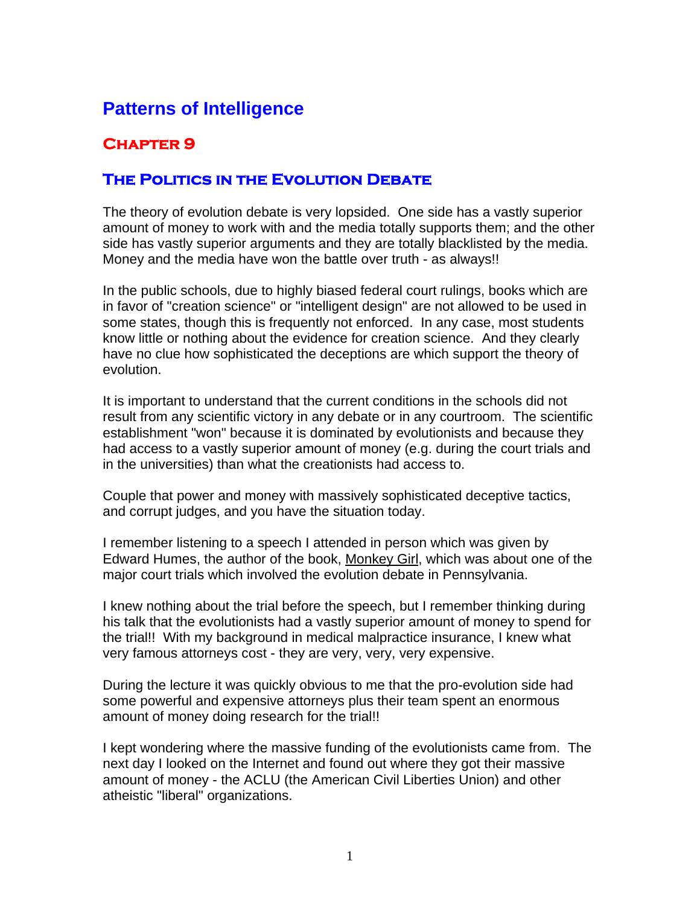# **Patterns of Intelligence**

## **Chapter 9**

### **The Politics in the Evolution Debate**

The theory of evolution debate is very lopsided. One side has a vastly superior amount of money to work with and the media totally supports them; and the other side has vastly superior arguments and they are totally blacklisted by the media. Money and the media have won the battle over truth - as always!!

In the public schools, due to highly biased federal court rulings, books which are in favor of "creation science" or "intelligent design" are not allowed to be used in some states, though this is frequently not enforced. In any case, most students know little or nothing about the evidence for creation science. And they clearly have no clue how sophisticated the deceptions are which support the theory of evolution.

It is important to understand that the current conditions in the schools did not result from any scientific victory in any debate or in any courtroom. The scientific establishment "won" because it is dominated by evolutionists and because they had access to a vastly superior amount of money (e.g. during the court trials and in the universities) than what the creationists had access to.

Couple that power and money with massively sophisticated deceptive tactics, and corrupt judges, and you have the situation today.

I remember listening to a speech I attended in person which was given by Edward Humes, the author of the book, Monkey Girl, which was about one of the major court trials which involved the evolution debate in Pennsylvania.

I knew nothing about the trial before the speech, but I remember thinking during his talk that the evolutionists had a vastly superior amount of money to spend for the trial!! With my background in medical malpractice insurance, I knew what very famous attorneys cost - they are very, very, very expensive.

During the lecture it was quickly obvious to me that the pro-evolution side had some powerful and expensive attorneys plus their team spent an enormous amount of money doing research for the trial!!

I kept wondering where the massive funding of the evolutionists came from. The next day I looked on the Internet and found out where they got their massive amount of money - the ACLU (the American Civil Liberties Union) and other atheistic "liberal" organizations.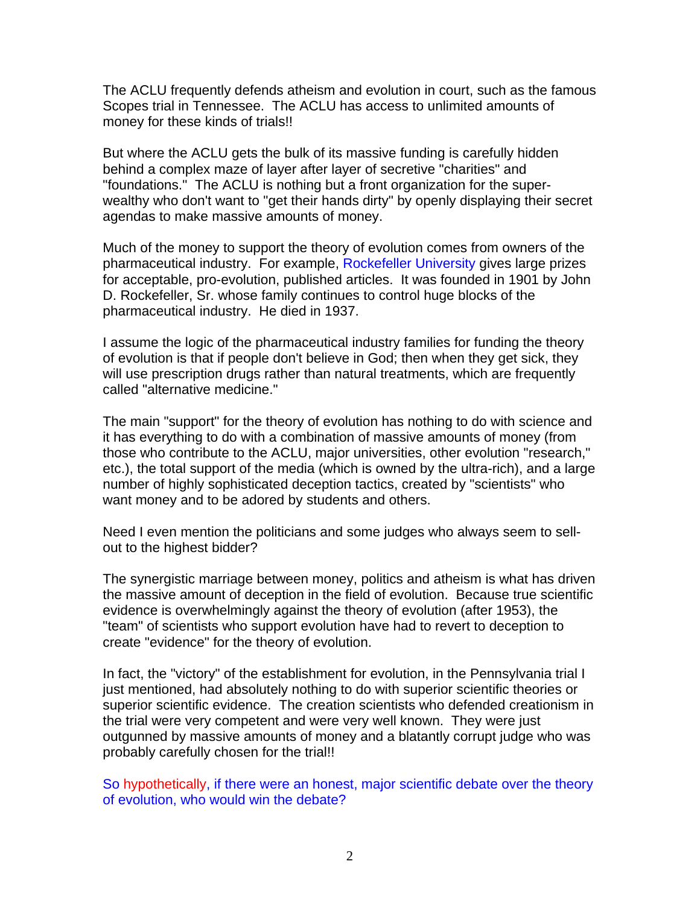The ACLU frequently defends atheism and evolution in court, such as the famous Scopes trial in Tennessee. The ACLU has access to unlimited amounts of money for these kinds of trials!!

But where the ACLU gets the bulk of its massive funding is carefully hidden behind a complex maze of layer after layer of secretive "charities" and "foundations." The ACLU is nothing but a front organization for the superwealthy who don't want to "get their hands dirty" by openly displaying their secret agendas to make massive amounts of money.

Much of the money to support the theory of evolution comes from owners of the pharmaceutical industry. For example, Rockefeller University gives large prizes for acceptable, pro-evolution, published articles. It was founded in 1901 by John D. Rockefeller, Sr. whose family continues to control huge blocks of the pharmaceutical industry. He died in 1937.

I assume the logic of the pharmaceutical industry families for funding the theory of evolution is that if people don't believe in God; then when they get sick, they will use prescription drugs rather than natural treatments, which are frequently called "alternative medicine."

The main "support" for the theory of evolution has nothing to do with science and it has everything to do with a combination of massive amounts of money (from those who contribute to the ACLU, major universities, other evolution "research," etc.), the total support of the media (which is owned by the ultra-rich), and a large number of highly sophisticated deception tactics, created by "scientists" who want money and to be adored by students and others.

Need I even mention the politicians and some judges who always seem to sellout to the highest bidder?

The synergistic marriage between money, politics and atheism is what has driven the massive amount of deception in the field of evolution. Because true scientific evidence is overwhelmingly against the theory of evolution (after 1953), the "team" of scientists who support evolution have had to revert to deception to create "evidence" for the theory of evolution.

In fact, the "victory" of the establishment for evolution, in the Pennsylvania trial I just mentioned, had absolutely nothing to do with superior scientific theories or superior scientific evidence. The creation scientists who defended creationism in the trial were very competent and were very well known. They were just outgunned by massive amounts of money and a blatantly corrupt judge who was probably carefully chosen for the trial!!

So hypothetically, if there were an honest, major scientific debate over the theory of evolution, who would win the debate?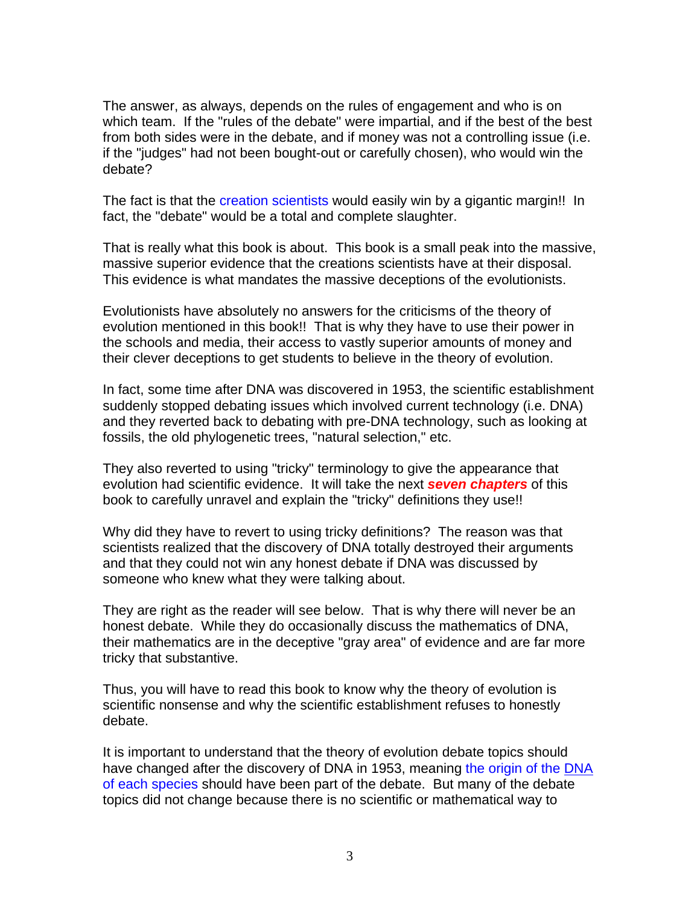The answer, as always, depends on the rules of engagement and who is on which team. If the "rules of the debate" were impartial, and if the best of the best from both sides were in the debate, and if money was not a controlling issue (i.e. if the "judges" had not been bought-out or carefully chosen), who would win the debate?

The fact is that the creation scientists would easily win by a gigantic margin!! In fact, the "debate" would be a total and complete slaughter.

That is really what this book is about. This book is a small peak into the massive, massive superior evidence that the creations scientists have at their disposal. This evidence is what mandates the massive deceptions of the evolutionists.

Evolutionists have absolutely no answers for the criticisms of the theory of evolution mentioned in this book!! That is why they have to use their power in the schools and media, their access to vastly superior amounts of money and their clever deceptions to get students to believe in the theory of evolution.

In fact, some time after DNA was discovered in 1953, the scientific establishment suddenly stopped debating issues which involved current technology (i.e. DNA) and they reverted back to debating with pre-DNA technology, such as looking at fossils, the old phylogenetic trees, "natural selection," etc.

They also reverted to using "tricky" terminology to give the appearance that evolution had scientific evidence. It will take the next *seven chapters* of this book to carefully unravel and explain the "tricky" definitions they use!!

Why did they have to revert to using tricky definitions? The reason was that scientists realized that the discovery of DNA totally destroyed their arguments and that they could not win any honest debate if DNA was discussed by someone who knew what they were talking about.

They are right as the reader will see below. That is why there will never be an honest debate. While they do occasionally discuss the mathematics of DNA, their mathematics are in the deceptive "gray area" of evidence and are far more tricky that substantive.

Thus, you will have to read this book to know why the theory of evolution is scientific nonsense and why the scientific establishment refuses to honestly debate.

It is important to understand that the theory of evolution debate topics should have changed after the discovery of DNA in 1953, meaning the origin of the DNA of each species should have been part of the debate. But many of the debate topics did not change because there is no scientific or mathematical way to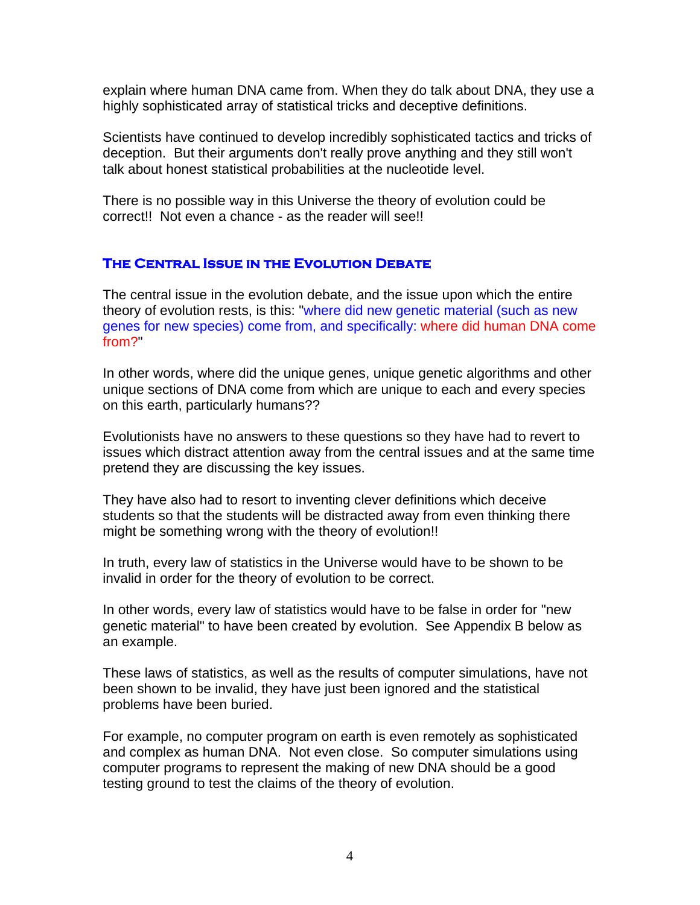explain where human DNA came from. When they do talk about DNA, they use a highly sophisticated array of statistical tricks and deceptive definitions.

Scientists have continued to develop incredibly sophisticated tactics and tricks of deception. But their arguments don't really prove anything and they still won't talk about honest statistical probabilities at the nucleotide level.

There is no possible way in this Universe the theory of evolution could be correct!! Not even a chance - as the reader will see!!

### **The Central Issue in the Evolution Debate**

The central issue in the evolution debate, and the issue upon which the entire theory of evolution rests, is this: "where did new genetic material (such as new genes for new species) come from, and specifically: where did human DNA come from?"

In other words, where did the unique genes, unique genetic algorithms and other unique sections of DNA come from which are unique to each and every species on this earth, particularly humans??

Evolutionists have no answers to these questions so they have had to revert to issues which distract attention away from the central issues and at the same time pretend they are discussing the key issues.

They have also had to resort to inventing clever definitions which deceive students so that the students will be distracted away from even thinking there might be something wrong with the theory of evolution!!

In truth, every law of statistics in the Universe would have to be shown to be invalid in order for the theory of evolution to be correct.

In other words, every law of statistics would have to be false in order for "new genetic material" to have been created by evolution. See Appendix B below as an example.

These laws of statistics, as well as the results of computer simulations, have not been shown to be invalid, they have just been ignored and the statistical problems have been buried.

For example, no computer program on earth is even remotely as sophisticated and complex as human DNA. Not even close. So computer simulations using computer programs to represent the making of new DNA should be a good testing ground to test the claims of the theory of evolution.